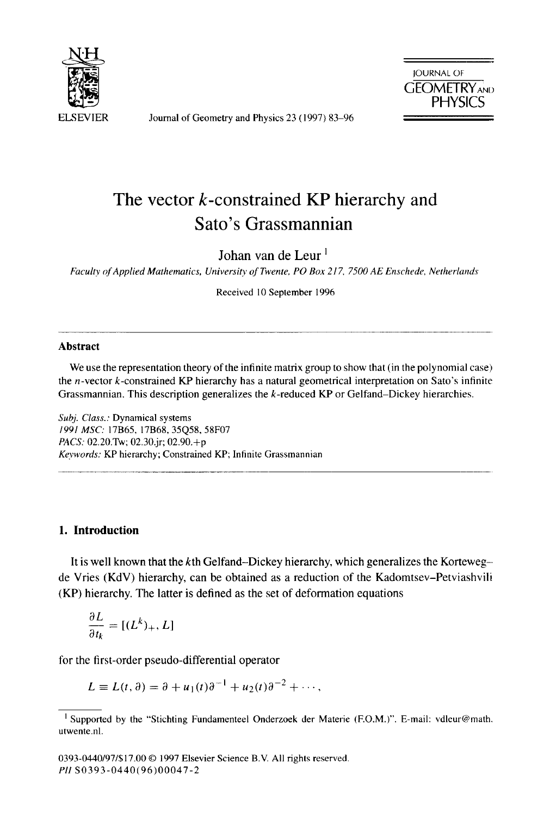

Journal of Geometry and Physics 23 (1997) 83-96



# **The vector k-constrained KP hierarchy and Sato's Grassmannian**

Johan van de Leur **<sup>1</sup>**

*Facul~ of Applied Mathematics, University of Twente, PO Box 217, 7500 AE Enschede, Netherlands* 

Received 10 September 1996

## **Abstract**

We use the representation theory of the infinite matrix group to show that (in the polynomial case) the  $n$ -vector  $k$ -constrained KP hierarchy has a natural geometrical interpretation on Sato's infinite Grassmannian. This description generalizes the k-reduced KP or Gelfand-Dickey hierarchies.

*Subj. Class.:* Dynamical systems *1991 MSC:* 17B65, 17B68, 35Q58, 58F07 *PACS:* 02.20.Tw; 02.30.jr; 02.90.+p *Kevwords:* KP hierarchy; Constrained KP; Infinite Grassmannian

## **1. Introduction**

It is well known that the kth Gelfand-Dickey hierarchy, which generalizes the Kortewegde Vries (KdV) hierarchy, can be obtained as a reduction of the Kadomtsev-Petviashvili (KP) hierarchy. The latter is defined as the set of deformation equations

$$
\frac{\partial L}{\partial t_k} = [(L^k)_+, L]
$$

for the first-order pseudo-differential operator

$$
L \equiv L(t,\partial) = \partial + u_1(t)\partial^{-1} + u_2(t)\partial^{-2} + \cdots,
$$

l Supported by the "Stichting Fundamenteel Onderzoek der Materie (F.O.M.)'. E-mail: vdleur@math. utwente.nl.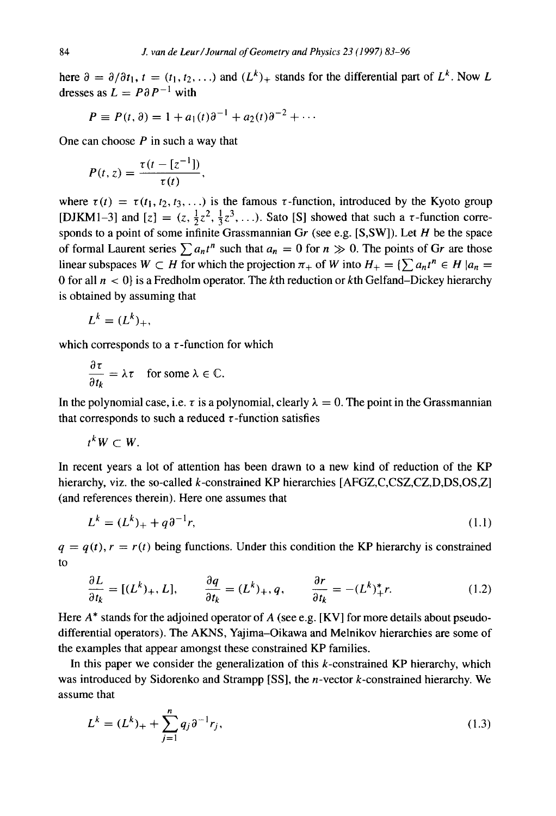here  $\partial = \partial/\partial t_1$ ,  $t = (t_1, t_2, ...)$  and  $(L^k)_+$  stands for the differential part of  $L^k$ . Now L dresses as  $L = P \partial P^{-1}$  with

$$
P \equiv P(t, \partial) = 1 + a_1(t)\partial^{-1} + a_2(t)\partial^{-2} + \cdots
$$

One can choose  $P$  in such a way that

$$
P(t, z) = \frac{\tau(t - [z^{-1}])}{\tau(t)},
$$

where  $\tau(t) = \tau(t_1, t_2, t_3, ...)$  is the famous  $\tau$ -function, introduced by the Kyoto group [DJKM1-3] and  $[z] = (z, \frac{1}{2}z^2, \frac{1}{3}z^3, \ldots)$ . Sato [S] showed that such a  $\tau$ -function corresponds to a point of some infinite Grassmannian Gr (see e.g.  $[S, SW]$ ). Let H be the space of formal Laurent series  $\sum a_n t^n$  such that  $a_n = 0$  for  $n \gg 0$ . The points of Gr are those linear subspaces  $W \subset H$  for which the projection  $\pi_+$  of W into  $H_+ = \{\sum a_n t^n \in H \mid a_n = 0\}$ 0 for all  $n < 0$  is a Fredholm operator. The kth reduction or kth Gelfand–Dickey hierarchy is obtained by assuming that

$$
L^k = (L^k)_+,
$$

which corresponds to a  $\tau$ -function for which

$$
\frac{\partial \tau}{\partial t_k} = \lambda \tau \quad \text{for some } \lambda \in \mathbb{C}.
$$

In the polynomial case, i.e.  $\tau$  is a polynomial, clearly  $\lambda = 0$ . The point in the Grassmannian that corresponds to such a reduced  $\tau$ -function satisfies

$$
t^kW\subset W.
$$

In recent years a lot of attention has been drawn to a new kind of reduction of the KP hierarchy, viz. the so-called k-constrained KP hierarchies [AFGZ,C,CSZ,CZ,D,DS,OS,Z] (and references therein). Here one assumes that

$$
L^k = (L^k)_+ + q\,\partial^{-1}r,\tag{1.1}
$$

 $q = q(t)$ ,  $r = r(t)$  being functions. Under this condition the KP hierarchy is constrained to

$$
\frac{\partial L}{\partial t_k} = [(L^k)_+, L], \qquad \frac{\partial q}{\partial t_k} = (L^k)_+, q, \qquad \frac{\partial r}{\partial t_k} = -(L^k)_+^* r. \tag{1.2}
$$

Here  $A^*$  stands for the adjoined operator of A (see e.g. [KV] for more details about pseudodifferential operators). The AKNS, Yajima-Oikawa and Melnikov hierarchies are some of the examples that appear amongst these constrained KP families.

In this paper we consider the generalization of this  $k$ -constrained KP hierarchy, which was introduced by Sidorenko and Strampp [SS], the  $n$ -vector  $k$ -constrained hierarchy. We assume that

$$
L^{k} = (L^{k})_{+} + \sum_{j=1}^{n} q_{j} \partial^{-1} r_{j}, \qquad (1.3)
$$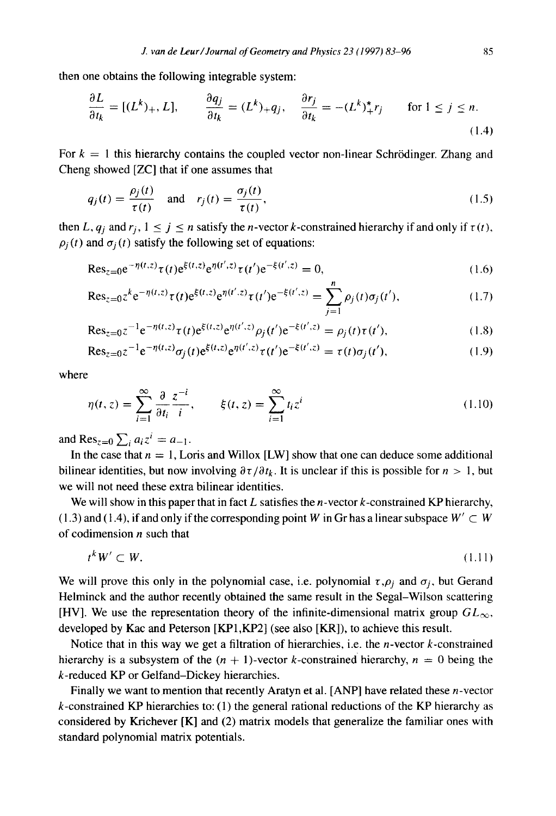then one obtains the following integrable system:

$$
\frac{\partial L}{\partial t_k} = [(L^k)_+, L], \qquad \frac{\partial q_j}{\partial t_k} = (L^k)_+ q_j, \quad \frac{\partial r_j}{\partial t_k} = -(L^k)_+^* r_j \qquad \text{for } 1 \le j \le n. \tag{1.4}
$$

For  $k = 1$  this hierarchy contains the coupled vector non-linear Schrödinger. Zhang and Cheng showed [ZC] that if one assumes that

$$
q_j(t) = \frac{\rho_j(t)}{\tau(t)} \quad \text{and} \quad r_j(t) = \frac{\sigma_j(t)}{\tau(t)},
$$
\n(1.5)

then L,  $q_j$  and  $r_j$ ,  $1 \leq j \leq n$  satisfy the *n*-vector *k*-constrained hierarchy if and only if  $\tau(t)$ ,  $\rho_i(t)$  and  $\sigma_i(t)$  satisfy the following set of equations:

$$
\text{Res}_{z=0}e^{-\eta(t,z)}\tau(t)e^{\xi(t,z)}e^{\eta(t',z)}\tau(t')e^{-\xi(t',z)} = 0,
$$
\n(1.6)

$$
\text{Res}_{z=0} z^{k} e^{-\eta(t,z)} \tau(t) e^{\xi(t,z)} e^{\eta(t',z)} \tau(t') e^{-\xi(t',z)} = \sum_{j=1}^{n} \rho_j(t) \sigma_j(t'), \qquad (1.7)
$$

$$
\text{Res}_{z=0} z^{-1} e^{-\eta(t,z)} \tau(t) e^{\xi(t,z)} e^{\eta(t',z)} \rho_j(t') e^{-\xi(t',z)} = \rho_j(t) \tau(t'), \tag{1.8}
$$

$$
\text{Res}_{z=0} z^{-1} e^{-\eta(t,z)} \sigma_j(t) e^{\xi(t,z)} e^{\eta(t',z)} \tau(t') e^{-\xi(t',z)} = \tau(t) \sigma_j(t'), \tag{1.9}
$$

where

$$
\eta(t,z) = \sum_{i=1}^{\infty} \frac{\partial}{\partial t_i} \frac{z^{-i}}{i}, \qquad \xi(t,z) = \sum_{i=1}^{\infty} t_i z^i
$$
\n(1.10)

and  $\text{Res}_{z=0} \sum_{i} a_i z^i = a_{-1}$ .

In the case that  $n = 1$ , Loris and Willox [LW] show that one can deduce some additional bilinear identities, but now involving  $\partial \tau / \partial t_k$ . It is unclear if this is possible for  $n > 1$ , but we will not need these extra bilinear identities.

We will show in this paper that in fact L satisfies the *n*-vector  $k$ -constrained KP hierarchy,  $(1.3)$  and  $(1.4)$ , if and only if the corresponding point W in Gr has a linear subspace  $W' \subset W$ of codimension  $n$  such that

$$
t^k W' \subset W. \tag{1.11}
$$

We will prove this only in the polynomial case, i.e. polynomial  $\tau$ ,  $\rho_i$  and  $\sigma_i$ , but Gerand Helminck and the author recently obtained the same result in the Segal-Wilson scattering [HV]. We use the representation theory of the infinite-dimensional matrix group  $GL_{\infty}$ , developed by Kac and Peterson [KP1,KP2] (see also [KR]), to achieve this result.

Notice that in this way we get a filtration of hierarchies, i.e. the *n*-vector  $k$ -constrained hierarchy is a subsystem of the  $(n + 1)$ -vector k-constrained hierarchy,  $n = 0$  being the k-reduced KP or Gelfand-Dickey hierarchies.

Finally we want to mention that recently Aratyn et al. [ANP] have related these  $n$ -vector  $k$ -constrained KP hierarchies to: (1) the general rational reductions of the KP hierarchy as considered by Krichever [K] and (2) matrix models that generalize the familiar ones with standard polynomial matrix potentials.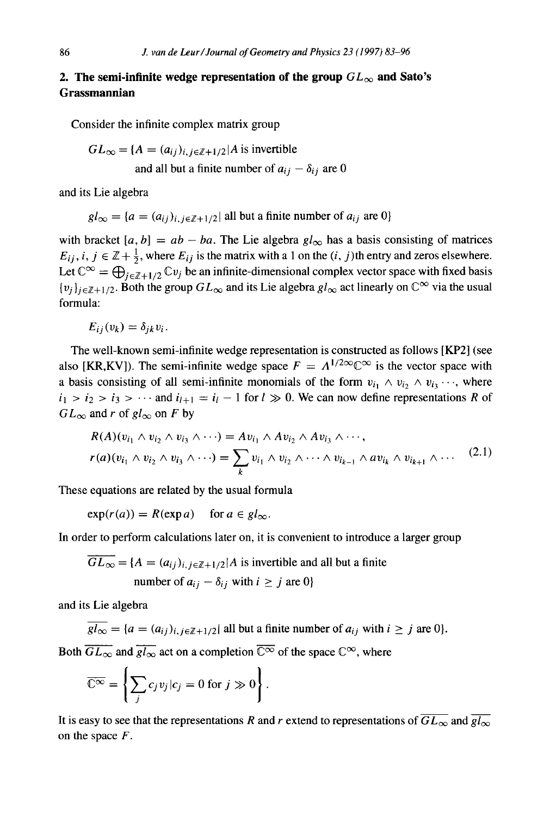## **2.** The semi-infinite wedge representation of the group  $GL_{\infty}$  and Sato's **Grassmannian**

Consider the infinite complex matrix group

$$
GL_{\infty} = \{ A = (a_{ij})_{i,j \in \mathbb{Z} + 1/2} | A \text{ is invertible}
$$
  
and all but a finite number of  $a_{ij} - \delta_{ij}$  are 0

and its Lie algebra

 $gl_{\infty} = \{a = (a_{ij})_{i,j \in \mathbb{Z} + 1/2} \}$  all but a finite number of  $a_{ij}$  are 0}

with bracket  $[a, b] = ab - ba$ . The Lie algebra  $gl_{\infty}$  has a basis consisting of matrices  $E_{ij}$ ,  $i, j \in \mathbb{Z} + \frac{1}{2}$ , where  $E_{ij}$  is the matrix with a 1 on the  $(i, j)$ th entry and zeros elsewhere. Let  $\mathbb{C}^{\infty} = \bigoplus_{i \in \mathbb{Z}+1/2} \mathbb{C}v_i$  be an infinite-dimensional complex vector space with fixed basis  ${v_j}_{j \in \mathbb{Z}+1/2}$ . Both the group  $GL_{\infty}$  and its Lie algebra  $gl_{\infty}$  act linearly on  $\mathbb{C}^{\infty}$  via the usual formula:

$$
E_{ij}(v_k)=\delta_{jk}v_i.
$$

The well-known semi-infinite wedge representation is constructed as follows [KP2] (see also [KR,KV]). The semi-infinite wedge space  $F = A^{1/2\infty} \mathbb{C}^{\infty}$  is the vector space with a basis consisting of all semi-infinite monomials of the form  $v_{i_1} \wedge v_{i_2} \wedge v_{i_3} \cdots$ , where  $i_1 > i_2 > i_3 > \cdots$  and  $i_{l+1} = i_l - 1$  for  $l \gg 0$ . We can now define representations R of  $GL_{\infty}$  and r of  $gl_{\infty}$  on F by

$$
R(A)(v_{i_1} \wedge v_{i_2} \wedge v_{i_3} \wedge \cdots) = Av_{i_1} \wedge Av_{i_2} \wedge Av_{i_3} \wedge \cdots,
$$
  

$$
r(a)(v_{i_1} \wedge v_{i_2} \wedge v_{i_3} \wedge \cdots) = \sum_k v_{i_1} \wedge v_{i_2} \wedge \cdots \wedge v_{i_{k-1}} \wedge av_{i_k} \wedge v_{i_{k+1}} \wedge \cdots
$$
 (2.1)

These equations are related by the usual formula

 $exp(r(a)) = R(exp a)$  for  $a \in gl_{\infty}$ .

In order to perform calculations later on, it is convenient to introduce a larger group

$$
\overline{GL_{\infty}} = \{ A = (a_{ij})_{i,j \in \mathbb{Z} + 1/2} | A \text{ is invertible and all but a finite number of } a_{ij} - \delta_{ij} \text{ with } i \ge j \text{ are } 0 \}
$$

and its Lie algebra

 $\overline{gl_{\infty}} = \{a = (a_{ij})_{i,j \in \mathbb{Z}+1/2}\}\$ all but a finite number of  $a_{ij}$  with  $i \geq j$  are 0). Both  $\overline{GL_{\infty}}$  and  $\overline{gl_{\infty}}$  act on a completion  $\overline{\mathbb{C}^{\infty}}$  of the space  $\mathbb{C}^{\infty}$ , where

$$
\overline{\mathbb{C}^{\infty}} = \left\{ \sum_{j} c_{j} v_{j} | c_{j} = 0 \text{ for } j \gg 0 \right\}.
$$

It is easy to see that the representations R and r extend to representations of  $\overline{GL_{\infty}}$  and  $\overline{gl_{\infty}}$ on the space  $F$ .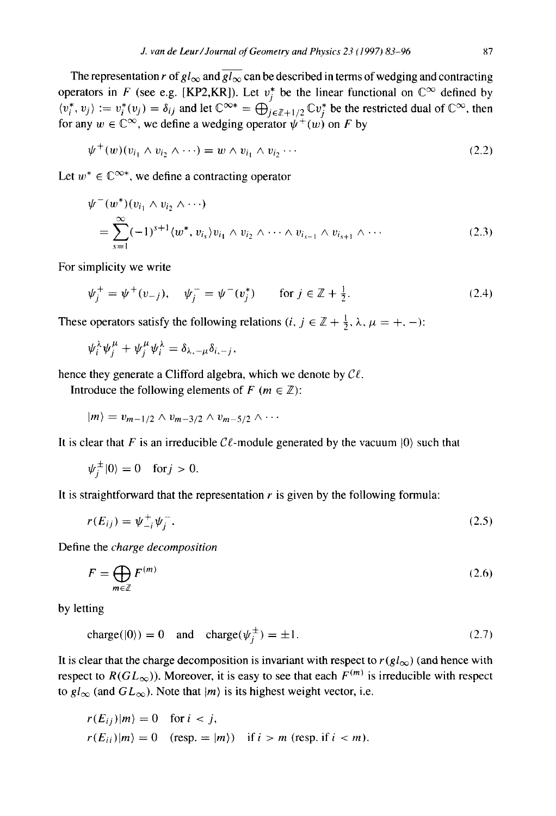The representation *r* of  $gl_{\infty}$  and  $\overline{gl_{\infty}}$  can be described in terms of wedging and contracting operators in F (see e.g. [KP2,KR]). Let  $v_i^*$  be the linear functional on  $\mathbb{C}^{\infty}$  defined by  $\langle v_i^*, v_j \rangle := v_i^*(v_j) = \delta_{ij}$  and let  $\mathbb{C}^{\infty*} = \bigoplus_{i \in \mathbb{Z}+1/2}^{\infty} \mathbb{C} v_i^*$  be the restricted dual of  $\mathbb{C}^{\infty}$ , then for any  $w \in \mathbb{C}^{\infty}$ , we define a wedging operator  $\psi^+(w)$  on F by

$$
\psi^+(w)(v_{i_1} \wedge v_{i_2} \wedge \cdots) = w \wedge v_{i_1} \wedge v_{i_2} \cdots \qquad (2.2)
$$

Let  $w^* \in \mathbb{C}^{\infty^*}$ , we define a contracting operator

$$
\psi^-(w^*)(v_{i_1} \wedge v_{i_2} \wedge \cdots)
$$
\n
$$
= \sum_{s=1}^{\infty} (-1)^{s+1} \langle w^*, v_{i_s} \rangle v_{i_1} \wedge v_{i_2} \wedge \cdots \wedge v_{i_{s-1}} \wedge v_{i_{s+1}} \wedge \cdots
$$
\n(2.3)

For simplicity we write

$$
\psi_j^+ = \psi^+(v_{-j}), \quad \psi_j^- = \psi^-(v_j^*) \qquad \text{for } j \in \mathbb{Z} + \frac{1}{2}.
$$
 (2.4)

These operators satisfy the following relations  $(i, j \in \mathbb{Z} + \frac{1}{2}, \lambda, \mu = +, -)$ :

$$
\psi_i^{\lambda} \psi_j^{\mu} + \psi_j^{\mu} \psi_i^{\lambda} = \delta_{\lambda, -\mu} \delta_{i, -j},
$$

hence they generate a Clifford algebra, which we denote by  $\mathcal{C}\ell$ .

Introduce the following elements of  $F$  ( $m \in \mathbb{Z}$ ):

$$
|m\rangle = v_{m-1/2} \wedge v_{m-3/2} \wedge v_{m-5/2} \wedge \cdots
$$

It is clear that F is an irreducible  $\mathcal{C}\ell$ -module generated by the vacuum  $|0\rangle$  such that

$$
\psi_i^{\pm}|0\rangle = 0 \quad \text{for } j > 0.
$$

It is straightforward that the representation  $r$  is given by the following formula:

$$
r(E_{ij}) = \psi_{-i}^+ \psi_i^-.
$$
 (2.5)

Define the *charge decomposition* 

$$
F = \bigoplus_{m \in \mathbb{Z}} F^{(m)} \tag{2.6}
$$

by letting

charge
$$
(|0\rangle) = 0
$$
 and charge $(\psi_j^{\pm}) = \pm 1$ . (2.7)

It is clear that the charge decomposition is invariant with respect to  $r(gl_{\infty})$  (and hence with respect to  $R(GL_{\infty})$ ). Moreover, it is easy to see that each  $F^{(m)}$  is irreducible with respect to  $gl_{\infty}$  (and  $GL_{\infty}$ ). Note that  $|m\rangle$  is its highest weight vector, i.e.

$$
r(E_{ij})|m\rangle = 0 \quad \text{for } i < j,
$$
\n
$$
r(E_{ii})|m\rangle = 0 \quad (\text{resp.} = |m\rangle) \quad \text{if } i > m \text{ (resp. if } i < m).
$$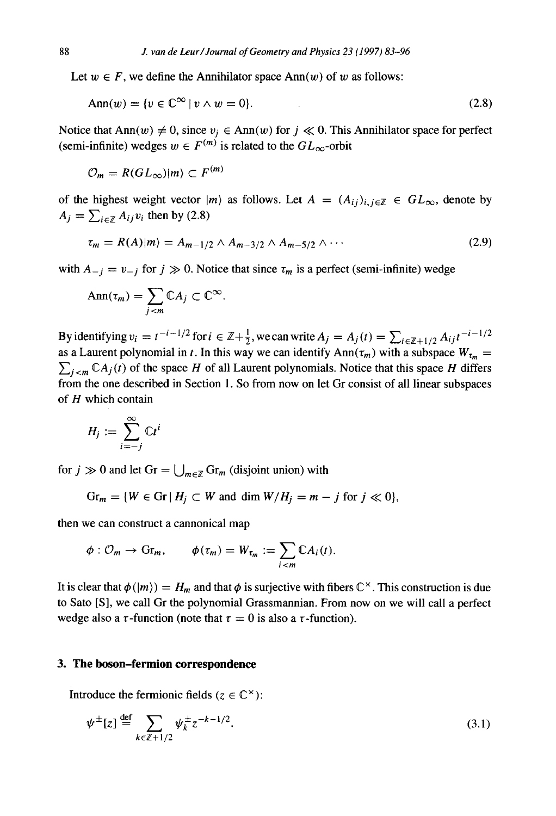Let  $w \in F$ , we define the Annihilator space Ann $(w)$  of w as follows:

$$
Ann(w) = \{v \in \mathbb{C}^{\infty} \mid v \wedge w = 0\}.
$$
\n
$$
(2.8)
$$

Notice that  $Ann(w) \neq 0$ , since  $v_j \in Ann(w)$  for  $j \ll 0$ . This Annihilator space for perfect (semi-infinite) wedges  $w \in F^{(m)}$  is related to the  $GL_{\infty}$ -orbit

$$
\mathcal{O}_m = R(GL_\infty)|m\rangle \subset F^{(m)}
$$

of the highest weight vector  $|m\rangle$  as follows. Let  $A = (A_{ij})_{i,j \in \mathbb{Z}} \in GL_{\infty}$ , denote by  $A_i = \sum_{i \in \mathbb{Z}} A_{ij} v_i$  then by (2.8)

$$
\tau_m = R(A)|m\rangle = A_{m-1/2} \wedge A_{m-3/2} \wedge A_{m-5/2} \wedge \cdots \qquad (2.9)
$$

with  $A_{-j} = v_{-j}$  for  $j \gg 0$ . Notice that since  $\tau_m$  is a perfect (semi-infinite) wedge

$$
Ann(\tau_m) = \sum_{j < m} \mathbb{C} A_j \subset \mathbb{C}^\infty.
$$

By identifying  $v_i = t^{-i-1/2}$  for  $i \in \mathbb{Z}+\frac{1}{2}$ , we can write  $A_i = A_i(t) = \sum_{i \in \mathbb{Z}+1/2} A_{ij} t^{-i-1/2}$ as a Laurent polynomial in t. In this way we can identify Ann( $\tau_m$ ) with a subspace  $W_{\tau_m}$  =  $\sum_{j \le m} \mathbb{C}A_j(t)$  of the space H of all Laurent polynomials. Notice that this space H differs from the one described in Section 1. So from now on let Gr consist of all linear subspaces of  $H$  which contain

$$
H_j := \sum_{i=-j}^{\infty} \mathbb{C} t^i
$$

for  $j \gg 0$  and let Gr =  $\bigcup_{m \in \mathbb{Z}}$  Gr<sub>m</sub> (disjoint union) with

 $Gr_m = \{W \in \text{Gr} \mid H_j \subset W \text{ and } \dim W/H_j = m - j \text{ for } j \ll 0\},\$ 

then we can construct a cannonical map

$$
\phi: \mathcal{O}_m \to \mathrm{Gr}_m, \qquad \phi(\tau_m) = W_{\tau_m} := \sum_{i < m} \mathbb{C} A_i(t).
$$

It is clear that  $\phi(|m\rangle) = H_m$  and that  $\phi$  is surjective with fibers  $\mathbb{C}^{\times}$ . This construction is due to Sato [S], we call Gr the polynomial Grassmannian. From now on we will call a perfect wedge also a  $\tau$ -function (note that  $\tau = 0$  is also a  $\tau$ -function).

## **3. The boson-fermion correspondence**

Introduce the fermionic fields ( $z \in \mathbb{C}^{\times}$ ):

$$
\psi^{\pm}[z] \stackrel{\text{def}}{=} \sum_{k \in \mathbb{Z} + 1/2} \psi_k^{\pm} z^{-k-1/2}.
$$
 (3.1)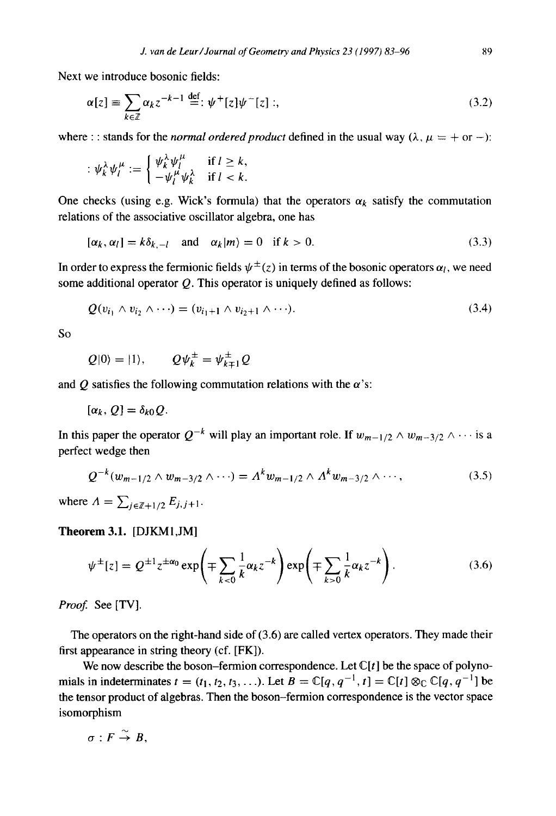Next we introduce bosonic fields:

$$
\alpha[z] \equiv \sum_{k \in \mathbb{Z}} \alpha_k z^{-k-1} \stackrel{\text{def}}{=} : \psi^+[z]\psi^-[z] \; ; \tag{3.2}
$$

where : : stands for the *normal ordered product* defined in the usual way  $(\lambda, \mu = +$  or -):

$$
\psi_k^{\lambda} \psi_l^{\mu} := \begin{cases} \psi_k^{\lambda} \psi_l^{\mu} & \text{if } l \geq k, \\ -\psi_l^{\mu} \psi_k^{\lambda} & \text{if } l < k. \end{cases}
$$

One checks (using e.g. Wick's formula) that the operators  $\alpha_k$  satisfy the commutation relations of the associative oscillator algebra, one has

$$
[\alpha_k, \alpha_l] = k\delta_{k,-l} \quad \text{and} \quad \alpha_k|m\rangle = 0 \quad \text{if } k > 0. \tag{3.3}
$$

In order to express the fermionic fields  $\psi^{\pm}(z)$  in terms of the bosonic operators  $\alpha_l$ , we need some additional operator  $Q$ . This operator is uniquely defined as follows:

$$
Q(v_{i_1} \wedge v_{i_2} \wedge \cdots) = (v_{i_1+1} \wedge v_{i_2+1} \wedge \cdots).
$$
 (3.4)

So

$$
Q|0\rangle = |1\rangle, \qquad Q\psi_k^{\pm} = \psi_{k=1}^{\pm}Q
$$

and Q satisfies the following commutation relations with the  $\alpha$ 's:

$$
[\alpha_k,\,Q]=\delta_{k0}Q.
$$

In this paper the operator  $Q^{-k}$  will play an important role. If  $w_{m-1/2} \wedge w_{m-3/2} \wedge \cdots$  is a perfect wedge then

$$
Q^{-k}(w_{m-1/2} \wedge w_{m-3/2} \wedge \cdots) = \Lambda^k w_{m-1/2} \wedge \Lambda^k w_{m-3/2} \wedge \cdots,
$$
 (3.5)

where  $\Lambda = \sum_{i \in \mathbb{Z}+1/2} E_{i,j+1}$ .

## Theorem 3.1. [DJKM1,JM]

$$
\psi^{\pm}[z] = Q^{\pm 1} z^{\pm \alpha_0} \exp\left(\mp \sum_{k < 0} \frac{1}{k} \alpha_k z^{-k}\right) \exp\left(\mp \sum_{k > 0} \frac{1}{k} \alpha_k z^{-k}\right). \tag{3.6}
$$

*Proof.* See [TV].

The operators on the right-hand side of (3.6) are called vertex operators. They made their first appearance in string theory (cf. [FK]).

We now describe the boson–fermion correspondence. Let  $\mathbb{C}[t]$  be the space of polynomials in indeterminates  $t = (t_1, t_2, t_3, \ldots)$ . Let  $B = \mathbb{C}[q, q^{-1}, t] = \mathbb{C}[t] \otimes_{\mathbb{C}} \mathbb{C}[q, q^{-1}]$  be the tensor product of algebras. Then the boson-fermion correspondence is the vector space isomorphism

$$
\sigma: F \stackrel{\sim}{\rightarrow} B,
$$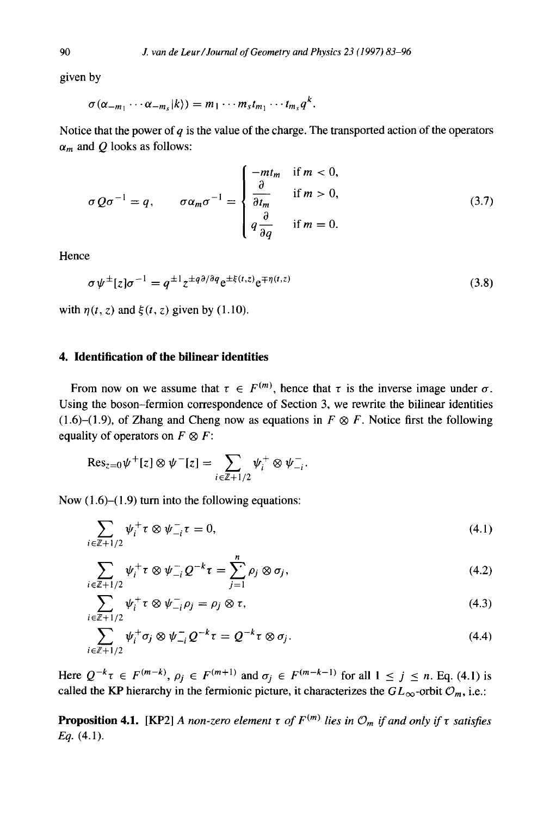given by

$$
\sigma(\alpha_{-m_1}\cdots\alpha_{-m_s}|k\rangle)=m_1\cdots m_st_{m_1}\cdots t_{m_s}q^k.
$$

Notice that the power of  $q$  is the value of the charge. The transported action of the operators  $\alpha_m$  and Q looks as follows:

$$
\sigma Q \sigma^{-1} = q, \qquad \sigma \alpha_m \sigma^{-1} = \begin{cases} -mt_m & \text{if } m < 0, \\ \frac{\partial}{\partial t_m} & \text{if } m > 0, \\ q \frac{\partial}{\partial q} & \text{if } m = 0. \end{cases}
$$
(3.7)

**Hence** 

$$
\sigma \psi^{\pm} [z] \sigma^{-1} = q^{\pm 1} z^{\pm q \partial / \partial q} e^{\pm \xi(t,z)} e^{\mp \eta(t,z)}
$$
(3.8)

with  $\eta(t, z)$  and  $\xi(t, z)$  given by (1.10).

#### **4. Identification of the bilinear identities**

From now on we assume that  $\tau \in F^{(m)}$ , hence that  $\tau$  is the inverse image under  $\sigma$ . Using the boson-fermion correspondence of Section 3, we rewrite the bilinear identities (1.6)-(1.9), of Zhang and Cheng now as equations in  $F \otimes F$ . Notice first the following equality of operators on  $F \otimes F$ :

$$
\mathrm{Res}_{z=0}\psi^+[z]\otimes\psi^-[z]=\sum_{i\in\mathbb{Z}+1/2}\psi_i^+\otimes\psi_{-i}^-.
$$

Now  $(1.6)$ – $(1.9)$  turn into the following equations:

$$
\sum_{i \in \mathbb{Z} + 1/2} \psi_i^+ \tau \otimes \psi_{-i}^- \tau = 0,
$$
\n(4.1)

$$
\sum_{i \in \mathbb{Z} + 1/2} \psi_i^+ \tau \otimes \psi_{-i}^- Q^{-k} \tau = \sum_{j=1}^n \rho_j \otimes \sigma_j,
$$
 (4.2)

$$
\sum_{i \in \mathbb{Z}+1/2} \psi_i^+ \tau \otimes \psi_{-i}^- \rho_j = \rho_j \otimes \tau, \tag{4.3}
$$

$$
\sum_{i\in\mathbb{Z}+1/2}\psi_i^+\sigma_j\otimes\psi_{-i}^-\mathcal{Q}^{-k}\tau=\mathcal{Q}^{-k}\tau\otimes\sigma_j.
$$
\n(4.4)

Here  $Q^{-k}\tau \in F^{(m-k)}$ ,  $\rho_i \in F^{(m+1)}$  and  $\sigma_j \in F^{(m-k-1)}$  for all  $1 \leq j \leq n$ . Eq. (4.1) is called the KP hierarchy in the fermionic picture, it characterizes the  $GL_{\infty}$ -orbit  $\mathcal{O}_m$ , i.e.:

**Proposition 4.1.** [KP2] *A non-zero element*  $\tau$  *of*  $F^{(m)}$  *lies in*  $\mathcal{O}_m$  *if and only if*  $\tau$  *satisfies Eq.* (4.1).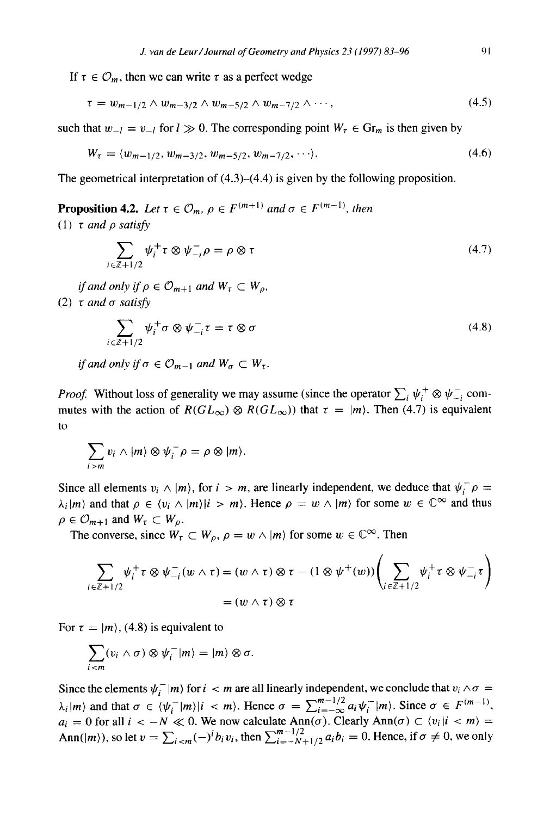If  $\tau \in \mathcal{O}_m$ , then we can write  $\tau$  as a perfect wedge

$$
\tau = w_{m-1/2} \wedge w_{m-3/2} \wedge w_{m-5/2} \wedge w_{m-7/2} \wedge \cdots, \qquad (4.5)
$$

such that  $w_{-l} = v_{-l}$  for  $l \gg 0$ . The corresponding point  $W_{\tau} \in \mathbb{G}r_m$  is then given by

$$
W_{\tau} = \langle w_{m-1/2}, w_{m-3/2}, w_{m-5/2}, w_{m-7/2}, \cdots \rangle. \tag{4.6}
$$

The geometrical interpretation of  $(4.3)$ - $(4.4)$  is given by the following proposition.

**Proposition 4.2.** Let  $\tau \in \mathcal{O}_m$ ,  $\rho \in F^{(m+1)}$  and  $\sigma \in F^{(m-1)}$ , then (1)  $\tau$  *and*  $\rho$  *satisfy* 

$$
\sum_{i \in \mathbb{Z} + 1/2} \psi_i^+ \tau \otimes \psi_{-i}^- \rho = \rho \otimes \tau \tag{4.7}
$$

*if and only if*  $\rho \in \mathcal{O}_{m+1}$  *and*  $W_{\tau} \subset W_o$ *,*  $(2)$   $\tau$  *and*  $\sigma$  *satisfy* 

$$
\sum_{i \in \mathbb{Z} + 1/2} \psi_i^+ \sigma \otimes \psi_{-i}^- \tau = \tau \otimes \sigma \tag{4.8}
$$

*if and only if*  $\sigma \in \mathcal{O}_{m-1}$  *and*  $W_{\sigma} \subset W_{\tau}$ .

*Proof.* Without loss of generality we may assume (since the operator  $\sum_i \psi_i^+ \otimes \psi_{-i}^-$  commutes with the action of  $R(GL_{\infty}) \otimes R(GL_{\infty})$  that  $\tau = |m\rangle$ . Then (4.7) is equivalent to

$$
\sum_{i>m} v_i \wedge |m\rangle \otimes \psi_i^-\rho = \rho \otimes |m\rangle.
$$

Since all elements  $v_i \wedge |m\rangle$ , for  $i > m$ , are linearly independent, we deduce that  $\psi_i^-\rho =$  $\lambda_i|m\rangle$  and that  $\rho \in \langle v_i \wedge |m\rangle |i \rangle > m$ . Hence  $\rho = w \wedge |m\rangle$  for some  $w \in \mathbb{C}^\infty$  and thus  $\rho \in \mathcal{O}_{m+1}$  and  $W_{\tau} \subset W_{\rho}$ .

The converse, since  $W_{\tau} \subset W_{\rho}, \rho = w \wedge |m\rangle$  for some  $w \in \mathbb{C}^{\infty}$ . Then

$$
\sum_{i \in \mathbb{Z} + 1/2} \psi_i^+ \tau \otimes \psi_{-i}^-(w \wedge \tau) = (w \wedge \tau) \otimes \tau - (1 \otimes \psi^+(w)) \left( \sum_{i \in \mathbb{Z} + 1/2} \psi_i^+ \tau \otimes \psi_{-i}^- \tau \right)
$$
  
=  $(w \wedge \tau) \otimes \tau$ 

For  $\tau = |m\rangle$ , (4.8) is equivalent to

$$
\sum_{i < m} (v_i \wedge \sigma) \otimes \psi_i^- |m\rangle = |m\rangle \otimes \sigma.
$$

Since the elements  $\psi_i^-|m\rangle$  for  $i < m$  are all linearly independent, we conclude that  $v_i \wedge \sigma =$  $\lambda_i|m\rangle$  and that  $\sigma \in (\psi_i^-[m)]$  i  $\langle m \rangle$ . Hence  $\sigma = \sum_{i=-\infty}^{m-1/2} a_i \psi_i^-[m]$ . Since  $\sigma \in F^{(m-1)}$ ,  $a_i = 0$  for all  $i < -N \ll 0$ . We now calculate  $Ann(\sigma)$ . Clearly  $Ann(\sigma) \subset \langle v_i | i \langle m \rangle =$  $A_{nn}(|m\rangle)$ , so let  $v = \sum_{i \le m} (-i b_i v_i)$ , then  $\sum_{i=-N+1/2}^{m-1/2} a_i b_i = 0$ . Hence, if  $\sigma \ne 0$ , we only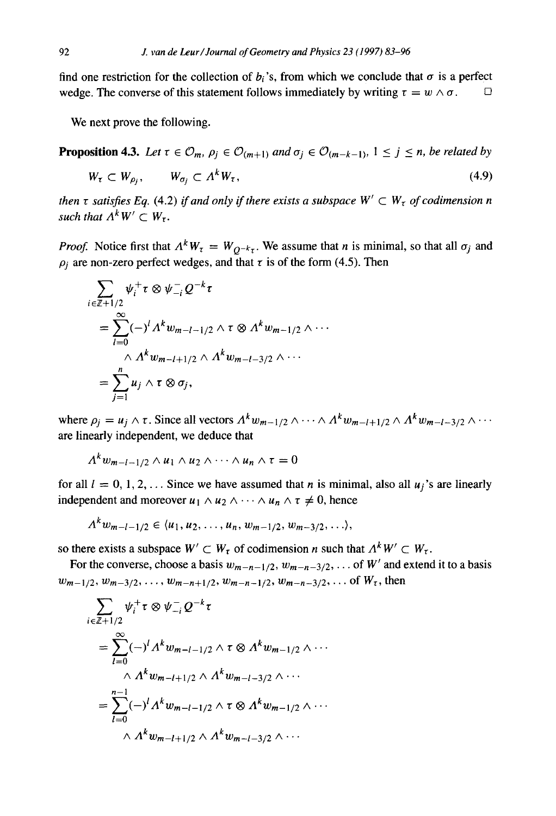find one restriction for the collection of  $b_i$ 's, from which we conclude that  $\sigma$  is a perfect wedge. The converse of this statement follows immediately by writing  $\tau = w \wedge \sigma$ .  $\Box$ 

**We next prove the following.** 

**Proposition 4.3.** Let  $\tau \in \mathcal{O}_m$ ,  $\rho_j \in \mathcal{O}_{(m+1)}$  and  $\sigma_j \in \mathcal{O}_{(m-k-1)}$ ,  $1 \leq j \leq n$ , be related by

$$
W_{\tau} \subset W_{\rho_i}, \qquad W_{\sigma_i} \subset \Lambda^k W_{\tau}, \tag{4.9}
$$

*then*  $\tau$  *satisfies Eq.* (4.2) *if and only if there exists a subspace*  $W' \subset W_{\tau}$  *of codimension n such that*  $A^k W' \subset W_\tau$ .

*Proof.* Notice first that  $A^k W_\tau = W_{Q^{-k}\tau}$ . We assume that n is minimal, so that all  $\sigma_i$  and  $\rho_i$  are non-zero perfect wedges, and that  $\tau$  is of the form (4.5). Then

$$
\sum_{i \in \mathbb{Z}+1/2} \psi_i^+ \tau \otimes \psi_{-i}^- Q^{-k} \tau
$$
\n
$$
= \sum_{l=0}^{\infty} (-)^l \Lambda^k w_{m-l-1/2} \wedge \tau \otimes \Lambda^k w_{m-l/2} \wedge \cdots
$$
\n
$$
\wedge \Lambda^k w_{m-l+1/2} \wedge \Lambda^k w_{m-l-3/2} \wedge \cdots
$$
\n
$$
= \sum_{j=1}^n u_j \wedge \tau \otimes \sigma_j,
$$

where  $\rho_i = u_i \wedge \tau$ . Since all vectors  $A^k w_{m-1/2} \wedge \cdots \wedge A^k w_{m-l+1/2} \wedge A^k w_{m-l-3/2} \wedge \cdots$ **are linearly independent, we deduce that** 

$$
\Lambda^k w_{m-l-1/2} \wedge u_1 \wedge u_2 \wedge \cdots \wedge u_n \wedge \tau = 0
$$

for all  $l = 0, 1, 2, \ldots$  Since we have assumed that *n* is minimal, also all  $u_j$ 's are linearly **independent and moreover**  $u_1 \wedge u_2 \wedge \cdots \wedge u_n \wedge \tau \neq 0$ **, hence** 

$$
A^{k} w_{m-l-1/2} \in \langle u_1, u_2, \ldots, u_n, w_{m-1/2}, w_{m-3/2}, \ldots \rangle,
$$

so there exists a subspace  $W' \subset W_{\tau}$  of codimension *n* such that  $\Lambda^k W' \subset W_{\tau}$ .

For the converse, choose a basis  $w_{m-n-1/2}$ ,  $w_{m-n-3/2}$ , ... of W' and extend it to a basis  $w_{m-1/2}, w_{m-3/2}, \ldots, w_{m-n+1/2}, w_{m-n-1/2}, w_{m-n-3/2}, \ldots$  of  $W_{\tau}$ , then

$$
\sum_{i \in \mathbb{Z}+1/2} \psi_i^+ \tau \otimes \psi_{-i}^- Q^{-k} \tau
$$
\n
$$
= \sum_{l=0}^{\infty} (-)^l A^k w_{m-l-1/2} \wedge \tau \otimes A^k w_{m-1/2} \wedge \cdots
$$
\n
$$
\wedge A^k w_{m-l+1/2} \wedge A^k w_{m-l-3/2} \wedge \cdots
$$
\n
$$
= \sum_{l=0}^{n-1} (-)^l A^k w_{m-l-1/2} \wedge \tau \otimes A^k w_{m-1/2} \wedge \cdots
$$
\n
$$
\wedge A^k w_{m-l+1/2} \wedge A^k w_{m-l-3/2} \wedge \cdots
$$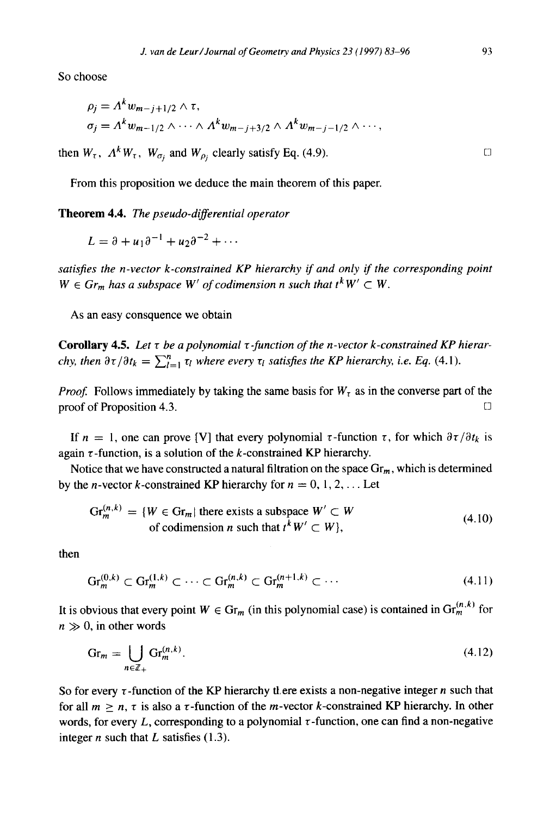So choose

$$
\rho_j = \Lambda^k w_{m-j+1/2} \wedge \tau,
$$
  
\n
$$
\sigma_j = \Lambda^k w_{m-1/2} \wedge \cdots \wedge \Lambda^k w_{m-j+3/2} \wedge \Lambda^k w_{m-j-1/2} \wedge \cdots,
$$

then  $W_{\tau}$ ,  $A^{k} W_{\tau}$ ,  $W_{\sigma_i}$  and  $W_{\rho_i}$  clearly satisfy Eq. (4.9).  $\Box$ 

From this proposition we deduce the main theorem of this paper.

Theorem 4.4. *The pseudo-differential operator* 

$$
L = \partial + u_1 \partial^{-1} + u_2 \partial^{-2} + \cdots
$$

*satisfies the n-vector k-constrained KP hierarchy if and only if the corresponding point*   $W \in Gr_m$  has a subspace W' of codimension n such that  $t^k W' \subset W$ .

As an easy consquence we obtain

Corollary 4.5. Let r *be a polynomial r-function of the n-vector k-constrained KP hierarchy, then*  $\partial \tau / \partial t_k = \sum_{l=1}^n \tau_l$  *where every*  $\tau_l$  *satisfies the KP hierarchy, i.e. Eq. (4.1).* 

*Proof.* Follows immediately by taking the same basis for  $W<sub>\tau</sub>$  as in the converse part of the proof of Proposition 4.3.  $\Box$ 

If  $n = 1$ , one can prove [V] that every polynomial  $\tau$ -function  $\tau$ , for which  $\frac{\partial \tau}{\partial t_k}$  is again  $\tau$ -function, is a solution of the k-constrained KP hierarchy.

Notice that we have constructed a natural filtration on the space  $G_{r_m}$ , which is determined by the *n*-vector *k*-constrained KP hierarchy for  $n = 0, 1, 2, \ldots$  Let

$$
\text{Gr}_{m}^{(n,k)} = \{W \in \text{Gr}_{m} | \text{ there exists a subspace } W' \subset W \text{ of codimension } n \text{ such that } t^{k}W' \subset W \},\tag{4.10}
$$

then

$$
\operatorname{Gr}_m^{(0,k)} \subset \operatorname{Gr}_m^{(1,k)} \subset \cdots \subset \operatorname{Gr}_m^{(n,k)} \subset \operatorname{Gr}_m^{(n+1,k)} \subset \cdots \tag{4.11}
$$

It is obvious that every point  $W \in \text{Gr}_m$  (in this polynomial case) is contained in  $\text{Gr}_m^{(n,k)}$  for  $n \gg 0$ , in other words

$$
Gr_m = \bigcup_{n \in \mathbb{Z}_+} Gr_m^{(n,k)}.
$$
\n(4.12)

So for every  $\tau$ -function of the KP hierarchy there exists a non-negative integer n such that for all  $m \ge n$ ,  $\tau$  is also a  $\tau$ -function of the *m*-vector *k*-constrained KP hierarchy. In other words, for every L, corresponding to a polynomial  $\tau$ -function, one can find a non-negative integer  $n$  such that  $L$  satisfies (1.3).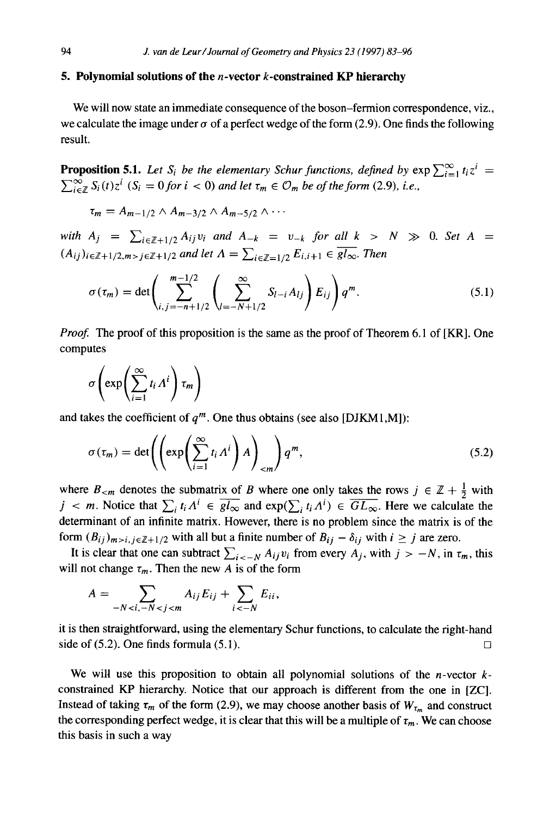## **5. Polynomial solutions of the n-vector k-constrained KP hierarchy**

We will now state an immediate consequence of the boson-fermion correspondence, viz., we calculate the image under  $\sigma$  of a perfect wedge of the form (2.9). One finds the following result.

**Proposition 5.1.** Let S<sub>i</sub> be the elementary Schur functions, defined by  $\exp \sum_{i=1}^{\infty} t_i z^i$  =  $\sum_{i \in \mathbb{Z}}^{\infty} S_i(t) z^i$  (S<sub>i</sub> = 0 for  $i < 0$ ) and let  $\tau_m \in \mathcal{O}_m$  be of the form (2.9), *i.e.*,

$$
\tau_m=A_{m-1/2}\wedge A_{m-3/2}\wedge A_{m-5/2}\wedge\cdots
$$

*with*  $A_j = \sum_{i \in \mathbb{Z}+1/2} A_{ij} v_i$  and  $A_{-k} = v_{-k}$  for all  $k > N \gg 0$ . Set  $A =$  $(A_{ij})_{i \in \mathbb{Z}+1/2, m>j \in \mathbb{Z}+1/2}$  *and let*  $A = \sum_{i \in \mathbb{Z}-1/2} E_{i,i+1} \in \overline{gl_{\infty}}$ *. Then* 

$$
\sigma(\tau_m) = \det \left( \sum_{i,j=-n+1/2}^{m-1/2} \left( \sum_{l=-N+1/2}^{\infty} S_{l-i} A_{lj} \right) E_{ij} \right) q^m.
$$
 (5.1)

*Proof.* The proof of this proposition is the same as the proof of Theorem 6.1 of [KR]. One computes

$$
\sigma\left(\exp\left(\sum_{i=1}^{\infty}t_i\,A^i\right)\tau_m\right)
$$

and takes the coefficient of  $q^m$ . One thus obtains (see also [DJKM1,M]):

$$
\sigma(\tau_m) = \det \left( \left( \exp \left( \sum_{i=1}^{\infty} t_i A^i \right) A \right)_{\lt m} \right) q^m, \tag{5.2}
$$

where  $B_{\leq m}$  denotes the submatrix of B where one only takes the rows  $j \in \mathbb{Z} + \frac{1}{2}$  with  $j < m$ . Notice that  $\sum_i t_i \Lambda^i \in \overline{gl_\infty}$  and  $\exp(\sum_i t_i \Lambda^i) \in \overline{GL_\infty}$ . Here we calculate the determinant of an infinite matrix. However, there is no problem since the matrix is of the form  $(B_{ij})_{m>i, j \in \mathbb{Z}+1/2}$  with all but a finite number of  $B_{ij} - \delta_{ij}$  with  $i \geq j$  are zero.

It is clear that one can subtract  $\sum_{i \leq N} A_{ij} v_i$  from every  $A_j$ , with  $j > -N$ , in  $\tau_m$ , this will not change  $\tau_m$ . Then the new A is of the form

$$
A=\sum_{-N
$$

it is then straightforward, using the elementary Schur functions, to calculate the right-hand side of (5.2). One finds formula (5.1).

We will use this proposition to obtain all polynomial solutions of the *n*-vector  $k$ constrained KP hierarchy. Notice that our approach is different from the one in [ZC]. Instead of taking  $\tau_m$  of the form (2.9), we may choose another basis of  $W_{\tau_m}$  and construct the corresponding perfect wedge, it is clear that this will be a multiple of  $\tau_m$ . We can choose this basis in such a way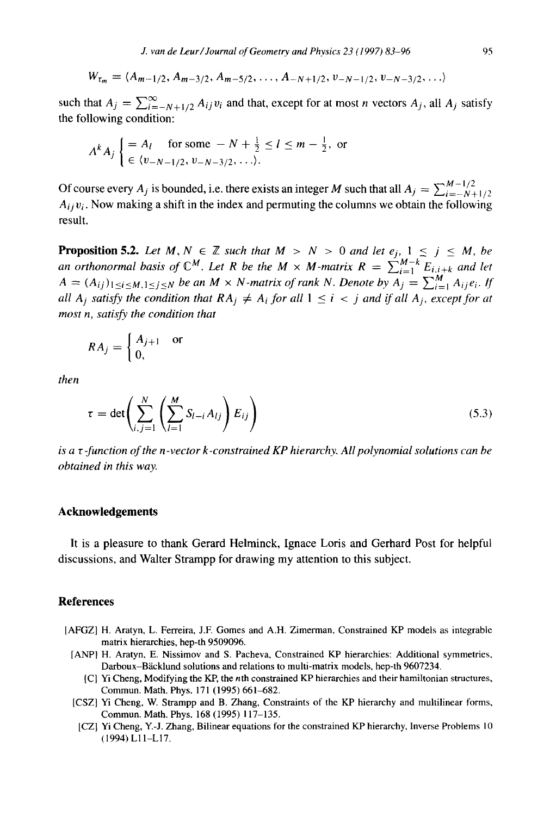$$
W_{\tau_m} = \langle A_{m-1/2}, A_{m-3/2}, A_{m-5/2}, \ldots, A_{-N+1/2}, v_{-N-1/2}, v_{-N-3/2}, \ldots \rangle
$$

such that  $A_j = \sum_{i=-N+1/2}^{\infty} A_{ij} v_i$  and that, except for at most *n* vectors  $A_j$ , all  $A_j$  satisfy the following condition:

$$
A^{k} A_{j} \begin{cases} = A_{l} & \text{for some } -N + \frac{1}{2} \le l \le m - \frac{1}{2}, \text{ or} \\ \in \langle v_{-N-1/2}, v_{-N-3/2}, \ldots \rangle. \end{cases}
$$

Of course every  $A_j$  is bounded, i.e. there exists an integer M such that all  $A_j = \sum_{i=-N+1/2}^{M-1/2}$  $A_{ij}v_i$ . Now making a shift in the index and permuting the columns we obtain the following result.

**Proposition 5.2.** Let  $M, N \in \mathbb{Z}$  such that  $M > N > 0$  and let  $e_j$ ,  $1 \leq j \leq M$ , be *an orthonormal basis of C<sup><i>m*</sup>. Let R be the M  $\times$  M-matrix  $R = \sum_{i=1}^{n} E_{i,i+k}$  and let  $A = (A_{ij})_{1 \le i \le M, 1 \le j \le N}$  be an  $M \times N$ -matrix of rank N. Denote by  $A_j = \sum_{i=1}^N A_{ij} e_i$ . If *all*  $A_j$  *satisfy the condition that*  $RA_j \neq A_i$  *for all*  $1 \leq i \leq j$  *and if all*  $A_j$ *, except for at most n, satisfy the condition that* 

$$
RA_j = \begin{cases} A_{j+1} & \text{or} \\ 0, & \end{cases}
$$

*then* 

$$
\tau = \det \left( \sum_{i,j=1}^{N} \left( \sum_{l=1}^{M} S_{l-i} A_{lj} \right) E_{ij} \right)
$$
\n(5.3)

*is a r-function of the n-vector k-constrained KP hierarchy. All polynomial solutions can be obtained in this way.* 

#### **Acknowledgements**

**It is a pleasure to thank Gerard Helminck, Ignace Loris and Gerhard Post for helpful discussions, and Walter Strampp for drawing my attention to this subject.** 

### **References**

- I AFGZ] H. Aratyn, L. Ferreira, J.E Gomes and A.H. Zimerman, Constrained KP models as integrable matrix hierarchies, hep-th 9509096.
	- [ANPI H. Aratyn, E. Nissimov and S. Pacheva, Constrained KP hierarchies: Additional symmetries, Darboux-Bäcklund solutions and relations to multi-matrix models, hep-th 9607234.
		- [C] Yi Cheng, Modifying the KP, the nth constrained KP hierarchies and their hamiltonian structures, Commun. Math. Phys. 171 (1995) 661~582.
	- [CSZ] Yi Cheng, W. Strampp and B. Zhang, Constraints of the KP hierarchy and multilinear forms, Commun. Math. Phys. 168 (1995) 117-135.
	- [CZl Yi Cheng, Y.-J. Zhang, Bilinear equations for the constrained KP hierarchy, Inverse Problems 10 (1994) L11-LI7.